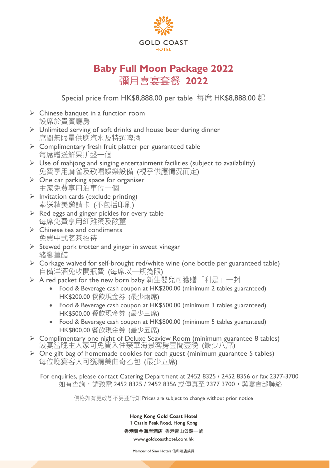

## **Baby Full Moon Package 2022 彌月喜宴套餐 2022**

Special price from HK\$8,888.00 per table 每席 HK\$8,888.00 起

- $\triangleright$  Chinese banquet in a function room 設席於貴賓廳房
- ➢ Unlimited serving of soft drinks and house beer during dinner 席間無限量供應汽水及特選啤酒
- ➢ Complimentary fresh fruit platter per guaranteed table 每席贈送鮮果拼盤一個
- $\triangleright$  Use of mahjong and singing entertainment facilities (subject to availability) 免費享用麻雀及歌唱娛樂設備 (視乎供應情況而定)
- $\triangleright$  One car parking space for organiser 主家免費享用泊車位一個
- $\triangleright$  Invitation cards (exclude printing) 奉送精美邀請卡 (不包括印刷)
- $\triangleright$  Red eggs and ginger pickles for every table 每席免費享用紅雞蛋及酸薑
- $\triangleright$  Chinese tea and condiments 免費中式茗茶招待
- ➢ Stewed pork trotter and ginger in sweet vinegar 豬腳薑醋
- $\triangleright$  Corkage waived for self-brought red/white wine (one bottle per guaranteed table) 自備洋酒免收開瓶費 (每席以一瓶為限)
- ▶ A red packet for the new born baby 新生嬰兒可獲贈「利是」一封
	- Food & Beverage cash coupon at HK\$200.00 (minimum 2 tables guaranteed) HK\$200.00 餐飲現金券 (最少兩席)
	- Food & Beverage cash coupon at HK\$500.00 (minimum 3 tables guaranteed) HK\$500.00 餐飲現金券 (最少三席)
	- Food & Beverage cash coupon at HK\$800.00 (minimum 5 tables guaranteed) HK\$800.00 餐飲現金券 (最少五席)
- ➢ Complimentary one night of Deluxe Seaview Room (minimum guarantee 8 tables) 設宴當晚主人家可免費入住豪華海景客房壹間壹晚 (最少八席)
- ➢ One gift bag of homemade cookies for each guest (minimum guarantee 5 tables) 每位晚宴客人可獲精美曲奇乙包 (最少五席)

For enquiries, please contact Catering Department at 2452 8325 / 2452 8356 or fax 2377-3700 如有查詢,請致電 2452 8325 / 2452 8356 或傳真至 2377 3700,與宴會部聯絡

價格如有更改恕不另通行知 Prices are subject to change without prior notice

Hong Kong Gold Coast Hotel 1 Castle Peak Road, Hong Kong 香港黃金海岸酒店 香港青山公路一號 www.goldcoasthotel.com.hk

Member of Sino Hotels 信和酒店成員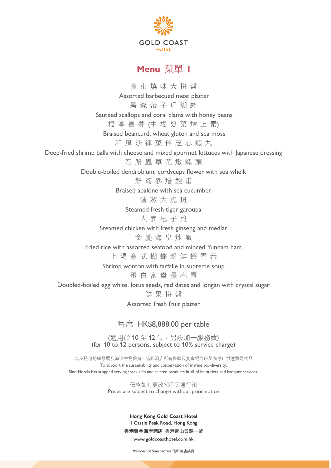

## **Menu 菜單 I**

廣東燒味大拼盤 Assorted barbecued meat platter 碧綠帶子珊瑚蚌 Sautéed scallops and coral clams with honey beans 根 基 長 養 (生 根 髮 菜 燴 上 素) Braised beancurd, wheat gluten and sea moss 和風沙律菜伴芝心蝦丸 Deep-fried shrimp balls with cheese and mixed gourmet lettuces with Japanese dressing 石斛蟲草花燉螺頭 Double-boiled dendrobium, cordyceps flower with sea whelk 鮮海參燴餉甫 Braised abalone with sea cucumber 清蒸大虎斑 Steamed fresh tiger garoupa 人參杞子雞 Steamed chicken with fresh ginseng and medlar 金腿海皇炒飯 Fried rice with assorted seafood and minced Yunnam ham 上湯意式蝴蝶粉鮮蝦雲吞 Shrimp wonton with farfalle in supreme soup 蛋白富貴長春露 Doubled-boiled egg white, lotus seeds, red dates and longan with crystal sugar 鮮 果 拼 盤 Assorted fresh fruit platter 每席 HK\$8,888.00 per table

> (適用於10至12位,另設加一服務費) (for 10 to 12 persons, subject to 10% service charge)

為支持可持續發展及海洋生物保育,信和酒店所有食肆及宴會場合已全面停止供應魚翅食品 To support the sustainability and conservation of marine bio-diversity, Sino Hotels has stopped serving shark's fin and related products in all of its outlets and banquet services.

> 價格如有更改恕不另通行知 Prices are subject to change without prior notice

> > Hong Kong Gold Coast Hotel 1 Castle Peak Road, Hong Kong 香港黃金海岸酒店 香港青山公路一號 www.goldcoasthotel.com.hk

Member of Sino Hotels 信和酒店成員